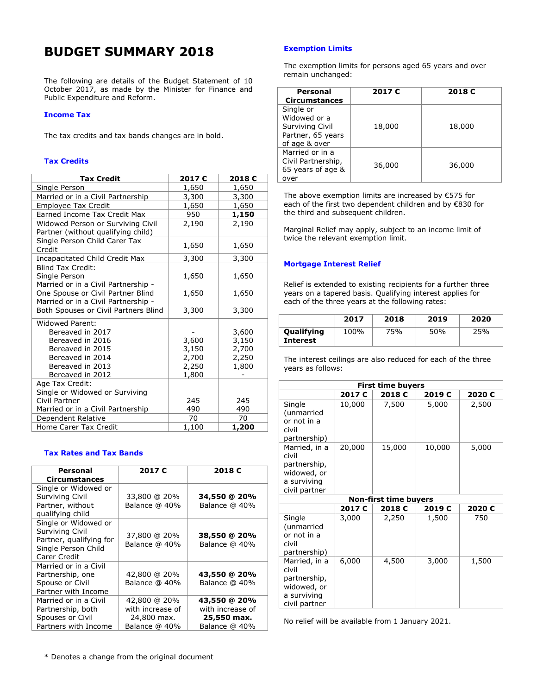# **BUDGET SUMMARY 2018**

The following are details of the Budget Statement of 10 October 2017, as made by the Minister for Finance and Public Expenditure and Reform.

### **Income Tax**

The tax credits and tax bands changes are in bold.

### **Tax Credits**

| <b>Tax Credit</b>                    | 2017€ | 2018€ |
|--------------------------------------|-------|-------|
| Single Person                        | 1,650 | 1,650 |
| Married or in a Civil Partnership    | 3,300 | 3,300 |
| <b>Employee Tax Credit</b>           | 1,650 | 1,650 |
| Earned Income Tax Credit Max         | 950   | 1,150 |
| Widowed Person or Surviving Civil    | 2,190 | 2,190 |
| Partner (without qualifying child)   |       |       |
| Single Person Child Carer Tax        | 1,650 | 1,650 |
| Credit                               |       |       |
| Incapacitated Child Credit Max       | 3,300 | 3,300 |
| <b>Blind Tax Credit:</b>             |       |       |
| Single Person                        | 1,650 | 1,650 |
| Married or in a Civil Partnership -  |       |       |
| One Spouse or Civil Partner Blind    | 1,650 | 1,650 |
| Married or in a Civil Partnership -  |       |       |
| Both Spouses or Civil Partners Blind | 3,300 | 3,300 |
| <b>Widowed Parent:</b>               |       |       |
| Bereaved in 2017                     |       | 3,600 |
| Bereaved in 2016                     | 3,600 | 3,150 |
| Bereaved in 2015                     | 3,150 | 2,700 |
| Bereaved in 2014                     | 2,700 | 2,250 |
| Bereaved in 2013                     | 2,250 | 1,800 |
| Bereaved in 2012                     | 1,800 |       |
| Age Tax Credit:                      |       |       |
| Single or Widowed or Surviving       |       |       |
| Civil Partner                        | 245   | 245   |
| Married or in a Civil Partnership    | 490   | 490   |
| Dependent Relative                   | 70    | 70    |
| Home Carer Tax Credit                | 1,100 | 1,200 |

### **Tax Rates and Tax Bands**

| Personal                                                                                                  | 2017€                                                            | 2018€                                                            |
|-----------------------------------------------------------------------------------------------------------|------------------------------------------------------------------|------------------------------------------------------------------|
| <b>Circumstances</b>                                                                                      |                                                                  |                                                                  |
| Single or Widowed or<br>Surviving Civil<br>Partner, without<br>qualifying child                           | 33,800 @ 20%<br>Balance @ 40%                                    | 34,550 @ 20%<br>Balance @ 40%                                    |
| Single or Widowed or<br>Surviving Civil<br>Partner, qualifying for<br>Single Person Child<br>Carer Credit | 37,800 @ 20%<br>Balance @ 40%                                    | 38,550 @ 20%<br>Balance @ 40%                                    |
| Married or in a Civil<br>Partnership, one<br>Spouse or Civil<br>Partner with Income                       | 42,800 @ 20%<br>Balance @ 40%                                    | 43,550 @ 20%<br>Balance @ 40%                                    |
| Married or in a Civil<br>Partnership, both<br>Spouses or Civil<br>Partners with Income                    | 42,800 @ 20%<br>with increase of<br>24,800 max.<br>Balance @ 40% | 43,550 @ 20%<br>with increase of<br>25,550 max.<br>Balance @ 40% |

\* Denotes a change from the original document

### **Exemption Limits**

The exemption limits for persons aged 65 years and over remain unchanged:

| <b>Personal</b><br><b>Circumstances</b>                                            | 2017€  | 2018€  |
|------------------------------------------------------------------------------------|--------|--------|
| Single or<br>Widowed or a<br>Surviving Civil<br>Partner, 65 years<br>of age & over | 18,000 | 18,000 |
| Married or in a<br>Civil Partnership,<br>65 years of age &<br>over                 | 36,000 | 36,000 |

The above exemption limits are increased by €575 for each of the first two dependent children and by €830 for the third and subsequent children.

Marginal Relief may apply, subject to an income limit of twice the relevant exemption limit.

### **Mortgage Interest Relief**

Relief is extended to existing recipients for a further three years on a tapered basis. Qualifying interest applies for each of the three years at the following rates:

|                        | 2017 | 2018 | 2019 | 2020 |
|------------------------|------|------|------|------|
| Qualifying<br>Interest | 100% | 75%  | 50%  | 25%  |

The interest ceilings are also reduced for each of the three years as follows:

| <b>First time buyers</b>                                                              |        |        |        |       |
|---------------------------------------------------------------------------------------|--------|--------|--------|-------|
|                                                                                       | 2017€  | 2018€  | 2019€  | 2020€ |
| Single<br>(unmarried<br>or not in a<br>civil<br>partnership)                          | 10,000 | 7,500  | 5,000  | 2,500 |
| Married, in a<br>civil<br>partnership,<br>widowed, or<br>a surviving<br>civil partner | 20,000 | 15,000 | 10,000 | 5,000 |
| <b>Non-first time buyers</b>                                                          |        |        |        |       |

|                                                                                       |       | NUILLING UNIC DUVERS |       |       |
|---------------------------------------------------------------------------------------|-------|----------------------|-------|-------|
|                                                                                       | 2017€ | 2018€                | 2019€ | 2020€ |
| Single<br>(unmarried<br>or not in a<br>civil<br>partnership)                          | 3,000 | 2,250                | 1,500 | 750   |
| Married, in a<br>civil<br>partnership,<br>widowed, or<br>a surviving<br>civil partner | 6,000 | 4,500                | 3,000 | 1,500 |

No relief will be available from 1 January 2021.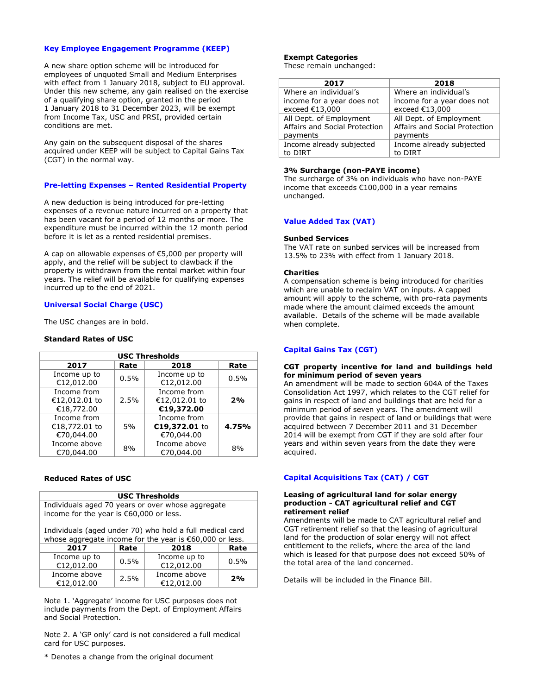### **Key Employee Engagement Programme (KEEP)**

A new share option scheme will be introduced for employees of unquoted Small and Medium Enterprises with effect from 1 January 2018, subject to EU approval. Under this new scheme, any gain realised on the exercise of a qualifying share option, granted in the period 1 January 2018 to 31 December 2023, will be exempt from Income Tax, USC and PRSI, provided certain conditions are met.

Any gain on the subsequent disposal of the shares acquired under KEEP will be subject to Capital Gains Tax (CGT) in the normal way.

### **Pre-letting Expenses – Rented Residential Property**

A new deduction is being introduced for pre-letting expenses of a revenue nature incurred on a property that has been vacant for a period of 12 months or more. The expenditure must be incurred within the 12 month period before it is let as a rented residential premises.

A cap on allowable expenses of €5,000 per property will apply, and the relief will be subject to clawback if the property is withdrawn from the rental market within four years. The relief will be available for qualifying expenses incurred up to the end of 2021.

### **Universal Social Charge (USC)**

The USC changes are in bold.

### **Standard Rates of USC**

| <b>USC Thresholds</b>                      |      |                                            |       |
|--------------------------------------------|------|--------------------------------------------|-------|
| 2017                                       | Rate | 2018                                       | Rate  |
| Income up to<br>€12,012.00                 | 0.5% | Income up to<br>€12,012.00                 | 0.5%  |
| Income from<br>€12,012.01 to<br>€18,772.00 | 2.5% | Income from<br>€12,012.01 to<br>€19,372.00 | 2%    |
| Income from<br>€18,772.01 to<br>€70,044.00 | 5%   | Income from<br>€19,372.01 to<br>€70,044.00 | 4.75% |
| Income above<br>€70,044.00                 | 8%   | Income above<br>€70,044.00                 | 8%    |

### **Reduced Rates of USC**

| <b>USC Thresholds</b>                                                                          |
|------------------------------------------------------------------------------------------------|
| Individuals aged 70 years or over whose aggregate<br>income for the year is $€60,000$ or less. |

Individuals (aged under 70) who hold a full medical card whose aggregate income for the year is €60,000 or less.

| ___                        |      |                            |      |
|----------------------------|------|----------------------------|------|
| 2017                       | Rate | 2018                       | Rate |
| Income up to<br>€12,012.00 | 0.5% | Income up to<br>€12,012.00 | 0.5% |
| Income above<br>€12,012.00 | 2.5% | Income above<br>€12,012.00 | 2%   |

Note 1. 'Aggregate' income for USC purposes does not include payments from the Dept. of Employment Affairs and Social Protection.

Note 2. A 'GP only' card is not considered a full medical card for USC purposes.

\* Denotes a change from the original document

## **Exempt Categories**

These remain unchanged:

| 2017                          | 2018                          |
|-------------------------------|-------------------------------|
|                               |                               |
| Where an individual's         | Where an individual's         |
| income for a year does not    | income for a year does not    |
| exceed €13,000                | exceed €13,000                |
| All Dept. of Employment       | All Dept. of Employment       |
| Affairs and Social Protection | Affairs and Social Protection |
| payments                      | payments                      |
| Income already subjected      | Income already subjected      |
| to DIRT                       | to DIRT                       |

### **3% Surcharge (non-PAYE income)**

The surcharge of 3% on individuals who have non-PAYE income that exceeds €100,000 in a year remains unchanged.

### **Value Added Tax (VAT)**

#### **Sunbed Services**

The VAT rate on sunbed services will be increased from 13.5% to 23% with effect from 1 January 2018.

### **Charities**

A compensation scheme is being introduced for charities which are unable to reclaim VAT on inputs. A capped amount will apply to the scheme, with pro-rata payments made where the amount claimed exceeds the amount available. Details of the scheme will be made available when complete.

### **Capital Gains Tax (CGT)**

#### **CGT property incentive for land and buildings held for minimum period of seven years**

An amendment will be made to section 604A of the Taxes Consolidation Act 1997, which relates to the CGT relief for gains in respect of land and buildings that are held for a minimum period of seven years. The amendment will provide that gains in respect of land or buildings that were acquired between 7 December 2011 and 31 December 2014 will be exempt from CGT if they are sold after four years and within seven years from the date they were acquired.

### **Capital Acquisitions Tax (CAT) / CGT**

#### **Leasing of agricultural land for solar energy production - CAT agricultural relief and CGT retirement relief**

Amendments will be made to CAT agricultural relief and CGT retirement relief so that the leasing of agricultural land for the production of solar energy will not affect entitlement to the reliefs, where the area of the land which is leased for that purpose does not exceed 50% of the total area of the land concerned.

Details will be included in the Finance Bill.